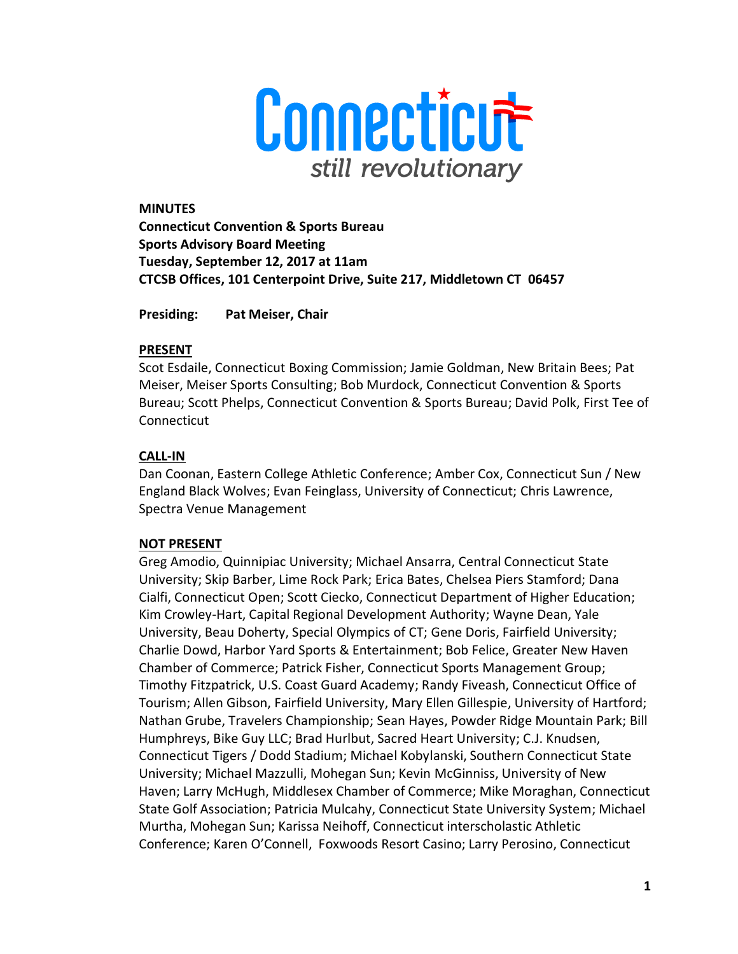

**MINUTES Connecticut Convention & Sports Bureau Sports Advisory Board Meeting Tuesday, September 12, 2017 at 11am CTCSB Offices, 101 Centerpoint Drive, Suite 217, Middletown CT 06457** 

**Presiding: Pat Meiser, Chair** 

### **PRESENT**

Scot Esdaile, Connecticut Boxing Commission; Jamie Goldman, New Britain Bees; Pat Meiser, Meiser Sports Consulting; Bob Murdock, Connecticut Convention & Sports Bureau; Scott Phelps, Connecticut Convention & Sports Bureau; David Polk, First Tee of Connecticut

## **CALL-IN**

Dan Coonan, Eastern College Athletic Conference; Amber Cox, Connecticut Sun / New England Black Wolves; Evan Feinglass, University of Connecticut; Chris Lawrence, Spectra Venue Management

## **NOT PRESENT**

Greg Amodio, Quinnipiac University; Michael Ansarra, Central Connecticut State University; Skip Barber, Lime Rock Park; Erica Bates, Chelsea Piers Stamford; Dana Cialfi, Connecticut Open; Scott Ciecko, Connecticut Department of Higher Education; Kim Crowley-Hart, Capital Regional Development Authority; Wayne Dean, Yale University, Beau Doherty, Special Olympics of CT; Gene Doris, Fairfield University; Charlie Dowd, Harbor Yard Sports & Entertainment; Bob Felice, Greater New Haven Chamber of Commerce; Patrick Fisher, Connecticut Sports Management Group; Timothy Fitzpatrick, U.S. Coast Guard Academy; Randy Fiveash, Connecticut Office of Tourism; Allen Gibson, Fairfield University, Mary Ellen Gillespie, University of Hartford; Nathan Grube, Travelers Championship; Sean Hayes, Powder Ridge Mountain Park; Bill Humphreys, Bike Guy LLC; Brad Hurlbut, Sacred Heart University; C.J. Knudsen, Connecticut Tigers / Dodd Stadium; Michael Kobylanski, Southern Connecticut State University; Michael Mazzulli, Mohegan Sun; Kevin McGinniss, University of New Haven; Larry McHugh, Middlesex Chamber of Commerce; Mike Moraghan, Connecticut State Golf Association; Patricia Mulcahy, Connecticut State University System; Michael Murtha, Mohegan Sun; Karissa Neihoff, Connecticut interscholastic Athletic Conference; Karen O'Connell, Foxwoods Resort Casino; Larry Perosino, Connecticut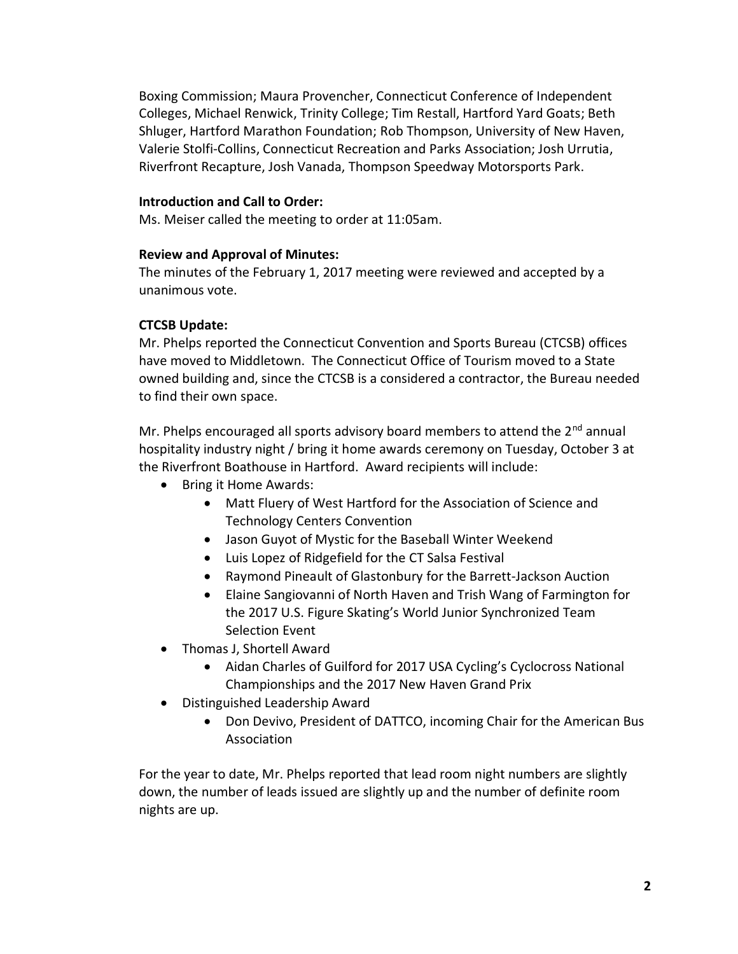Boxing Commission; Maura Provencher, Connecticut Conference of Independent Colleges, Michael Renwick, Trinity College; Tim Restall, Hartford Yard Goats; Beth Shluger, Hartford Marathon Foundation; Rob Thompson, University of New Haven, Valerie Stolfi-Collins, Connecticut Recreation and Parks Association; Josh Urrutia, Riverfront Recapture, Josh Vanada, Thompson Speedway Motorsports Park.

### **Introduction and Call to Order:**

Ms. Meiser called the meeting to order at 11:05am.

### **Review and Approval of Minutes:**

The minutes of the February 1, 2017 meeting were reviewed and accepted by a unanimous vote.

## **CTCSB Update:**

Mr. Phelps reported the Connecticut Convention and Sports Bureau (CTCSB) offices have moved to Middletown. The Connecticut Office of Tourism moved to a State owned building and, since the CTCSB is a considered a contractor, the Bureau needed to find their own space.

Mr. Phelps encouraged all sports advisory board members to attend the 2<sup>nd</sup> annual hospitality industry night / bring it home awards ceremony on Tuesday, October 3 at the Riverfront Boathouse in Hartford. Award recipients will include:

- Bring it Home Awards:
	- Matt Fluery of West Hartford for the Association of Science and Technology Centers Convention
	- Jason Guyot of Mystic for the Baseball Winter Weekend
	- Luis Lopez of Ridgefield for the CT Salsa Festival
	- Raymond Pineault of Glastonbury for the Barrett-Jackson Auction
	- Elaine Sangiovanni of North Haven and Trish Wang of Farmington for the 2017 U.S. Figure Skating's World Junior Synchronized Team Selection Event
- Thomas J, Shortell Award
	- Aidan Charles of Guilford for 2017 USA Cycling's Cyclocross National Championships and the 2017 New Haven Grand Prix
- Distinguished Leadership Award
	- Don Devivo, President of DATTCO, incoming Chair for the American Bus Association

For the year to date, Mr. Phelps reported that lead room night numbers are slightly down, the number of leads issued are slightly up and the number of definite room nights are up.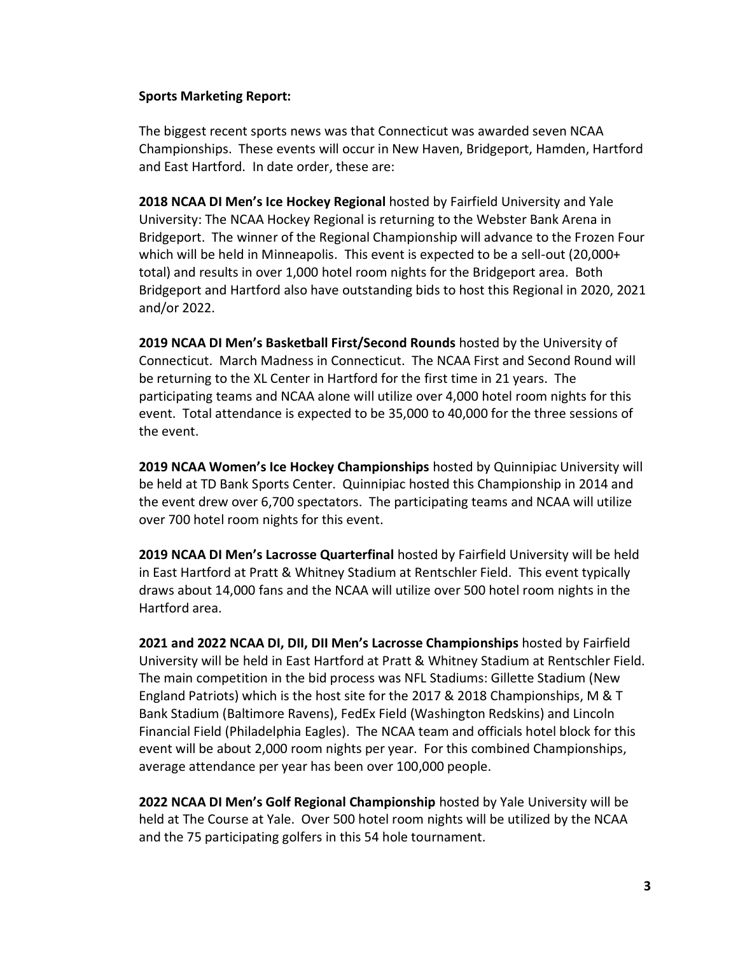### **Sports Marketing Report:**

The biggest recent sports news was that Connecticut was awarded seven NCAA Championships. These events will occur in New Haven, Bridgeport, Hamden, Hartford and East Hartford. In date order, these are:

**2018 NCAA DI Men's Ice Hockey Regional** hosted by Fairfield University and Yale University: The NCAA Hockey Regional is returning to the Webster Bank Arena in Bridgeport. The winner of the Regional Championship will advance to the Frozen Four which will be held in Minneapolis. This event is expected to be a sell-out (20,000+ total) and results in over 1,000 hotel room nights for the Bridgeport area. Both Bridgeport and Hartford also have outstanding bids to host this Regional in 2020, 2021 and/or 2022.

**2019 NCAA DI Men's Basketball First/Second Rounds** hosted by the University of Connecticut. March Madness in Connecticut. The NCAA First and Second Round will be returning to the XL Center in Hartford for the first time in 21 years. The participating teams and NCAA alone will utilize over 4,000 hotel room nights for this event. Total attendance is expected to be 35,000 to 40,000 for the three sessions of the event.

**2019 NCAA Women's Ice Hockey Championships** hosted by Quinnipiac University will be held at TD Bank Sports Center. Quinnipiac hosted this Championship in 2014 and the event drew over 6,700 spectators. The participating teams and NCAA will utilize over 700 hotel room nights for this event.

**2019 NCAA DI Men's Lacrosse Quarterfinal** hosted by Fairfield University will be held in East Hartford at Pratt & Whitney Stadium at Rentschler Field. This event typically draws about 14,000 fans and the NCAA will utilize over 500 hotel room nights in the Hartford area.

**2021 and 2022 NCAA DI, DII, DII Men's Lacrosse Championships** hosted by Fairfield University will be held in East Hartford at Pratt & Whitney Stadium at Rentschler Field. The main competition in the bid process was NFL Stadiums: Gillette Stadium (New England Patriots) which is the host site for the 2017 & 2018 Championships, M & T Bank Stadium (Baltimore Ravens), FedEx Field (Washington Redskins) and Lincoln Financial Field (Philadelphia Eagles). The NCAA team and officials hotel block for this event will be about 2,000 room nights per year. For this combined Championships, average attendance per year has been over 100,000 people.

**2022 NCAA DI Men's Golf Regional Championship** hosted by Yale University will be held at The Course at Yale. Over 500 hotel room nights will be utilized by the NCAA and the 75 participating golfers in this 54 hole tournament.